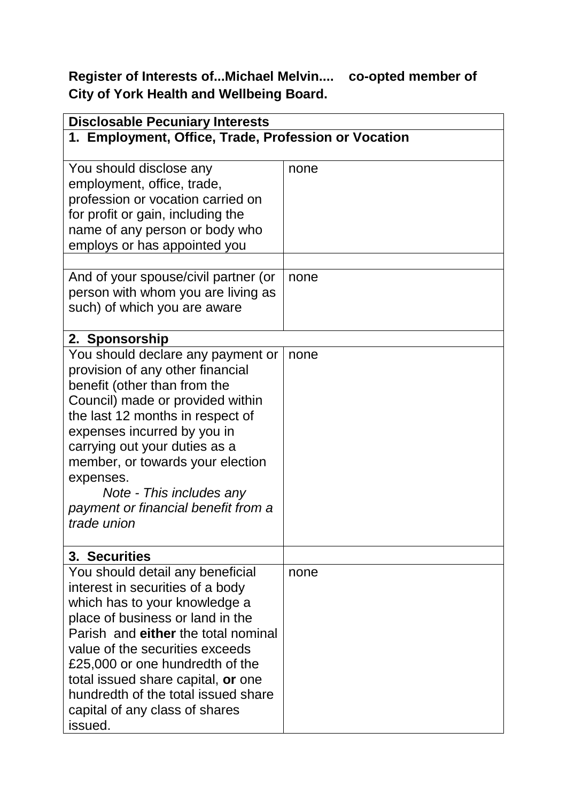**Register of Interests of...Michael Melvin.... co-opted member of City of York Health and Wellbeing Board.**

| <b>Disclosable Pecuniary Interests</b>                                                                                                                                                                                                                                                                                                                                           |      |  |
|----------------------------------------------------------------------------------------------------------------------------------------------------------------------------------------------------------------------------------------------------------------------------------------------------------------------------------------------------------------------------------|------|--|
| 1. Employment, Office, Trade, Profession or Vocation                                                                                                                                                                                                                                                                                                                             |      |  |
| You should disclose any<br>employment, office, trade,                                                                                                                                                                                                                                                                                                                            | none |  |
| profession or vocation carried on<br>for profit or gain, including the                                                                                                                                                                                                                                                                                                           |      |  |
| name of any person or body who<br>employs or has appointed you                                                                                                                                                                                                                                                                                                                   |      |  |
| And of your spouse/civil partner (or<br>person with whom you are living as<br>such) of which you are aware                                                                                                                                                                                                                                                                       | none |  |
| 2. Sponsorship                                                                                                                                                                                                                                                                                                                                                                   |      |  |
| You should declare any payment or<br>provision of any other financial<br>benefit (other than from the<br>Council) made or provided within<br>the last 12 months in respect of<br>expenses incurred by you in<br>carrying out your duties as a<br>member, or towards your election<br>expenses.<br>Note - This includes any<br>payment or financial benefit from a<br>trade union | none |  |
| 3. Securities                                                                                                                                                                                                                                                                                                                                                                    |      |  |
| You should detail any beneficial<br>interest in securities of a body<br>which has to your knowledge a<br>place of business or land in the<br>Parish and either the total nominal<br>value of the securities exceeds<br>£25,000 or one hundredth of the<br>total issued share capital, or one<br>hundredth of the total issued share<br>capital of any class of shares<br>issued. | none |  |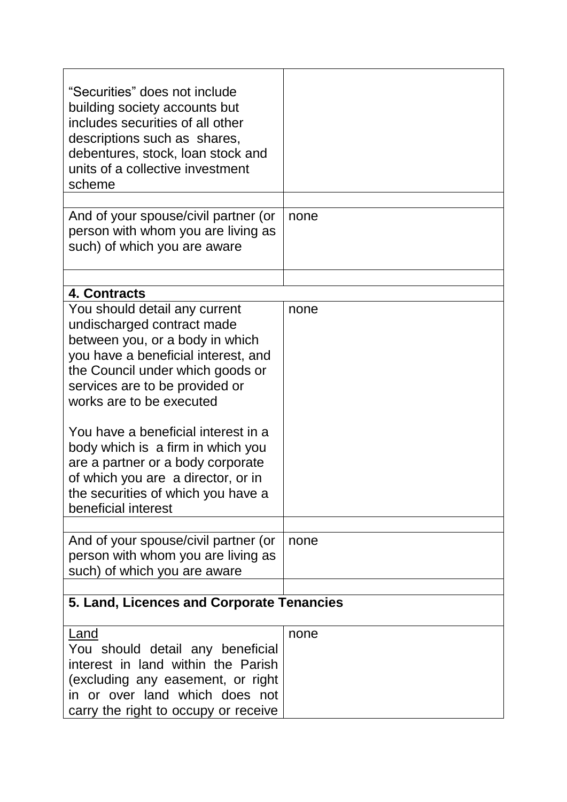| "Securities" does not include<br>building society accounts but<br>includes securities of all other<br>descriptions such as shares,<br>debentures, stock, loan stock and<br>units of a collective investment<br>scheme                                                                                                                                                                                                                                       |      |
|-------------------------------------------------------------------------------------------------------------------------------------------------------------------------------------------------------------------------------------------------------------------------------------------------------------------------------------------------------------------------------------------------------------------------------------------------------------|------|
| And of your spouse/civil partner (or<br>person with whom you are living as<br>such) of which you are aware                                                                                                                                                                                                                                                                                                                                                  | none |
| 4. Contracts                                                                                                                                                                                                                                                                                                                                                                                                                                                |      |
| You should detail any current<br>undischarged contract made<br>between you, or a body in which<br>you have a beneficial interest, and<br>the Council under which goods or<br>services are to be provided or<br>works are to be executed<br>You have a beneficial interest in a<br>body which is a firm in which you<br>are a partner or a body corporate<br>of which you are a director, or in<br>the securities of which you have a<br>beneficial interest | none |
| And of your spouse/civil partner (or<br>person with whom you are living as<br>such) of which you are aware                                                                                                                                                                                                                                                                                                                                                  | none |
| 5. Land, Licences and Corporate Tenancies                                                                                                                                                                                                                                                                                                                                                                                                                   |      |
| <b>Land</b><br>You should detail any beneficial<br>interest in land within the Parish<br>(excluding any easement, or right<br>in or over land which does not<br>carry the right to occupy or receive                                                                                                                                                                                                                                                        | none |